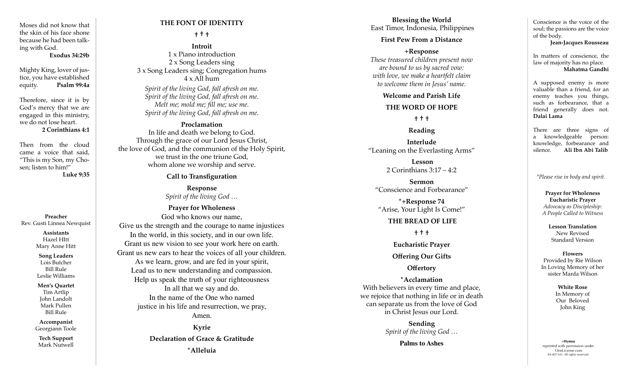Moses did not know that the skin of his face shone because he had been talk ing with God.

#### **Exodus 34:29b**

Mighty King, lover of jus tice, you have established equity. **Psalm 99:4a**

Therefore, since it is by God's mercy that we are engaged in this ministry, we do not lose heart.

#### **2 Corinthians 4:1**

Then from the cloud came a voice that said, "This is my Son, my Cho sen; listen to him!" **Luke 9:35**

**Preacher** Rev. Gusti Linnea Newquist

**Assistants** Hazel HItt Mary Anne Hitt

**Song Leaders** Lois Butcher Bill Rule Leslie Williams

**Men's Quartet** Tim Artlip John Landolt Mark Pullen Bill Rule

**Accompanist** Georgiann Toole

**Tech Support** Mark Nutwell

## **THE FONT OF IDENTITY**

### **† † †**

**Introit**  1 x Piano introduction 2 x Song Leaders sing 3 x Song Leaders sing; Congregation hums  $4 \times$  All hum

*Spirit of the living God, fall afresh on me. Spirit of the living God, fall afresh on me. Melt me; mold me; fill me; use me. Spirit of the living God, fall afresh on me.*

### **Proclamation**

In life and death we belong to God. Through the grace of our Lord Jesus Christ, the love of God, and the communion of the Holy Spirit, we trust in the one triune God, whom alone we worship and serve.

## **Call to Transfiguration**

**Response** *Spirit of the living God …*

**Prayer for Wholeness** God who knows our name, Give us the strength and the courage to name injustices In the world, in this society, and in our own life. Grant us new vision to see your work here on earth. Grant us new ears to hear the voices of all your children. As we learn, grow, and are fed in your spirit, Lead us to new understanding and compassion. Help us speak the truth of your righteousness In all that we say and do. In the name of the One who named justice in his life and resurrection, we pray, Amen.

> **Kyrie Declaration of Grace & Gratitude \*Alleluia**

**Blessing the World** East Timor, Indonesia, Philippines

## **First Pew From a Distance**

**+Response**  *These treasured children present now are bound to us by sacred vow: with love, we make a heartfelt claim to welcome them in Jesus' name.* 

#### **Welcome and Parish Life**

#### **THE WORD OF HOPE**

**† † †**

# **Reading**

**Interlude** "Leaning on the Everlasting Arms"

> **Lesson** 2 Corinthians 3:17 – 4:2

**Sermon** "Conscience and Forbearance"

**\*+Response 74** "Arise, Your Light Is Come!"

### **THE BREAD OF LIFE**

**† † †**

**Eucharistic Prayer** 

**Offering Our Gifts**

**Offertory**

**\*Acclamation** With believers in every time and place, we rejoice that nothing in life or in death can separate us from the love of God in Christ Jesus our Lord.

> **Sending**  *Spirit of the living God …*

> > **Palms to Ashes**

Conscience is the voice of the soul; the passions are the voice of the body.

**Jean-Jacques Rousseau** 

In matters of conscience, the law of majority has no place. **Mahatma Gandhi**

A supposed enemy is more valuable than a friend, for an enemy teaches you things, such as forbearance, that a friend generally does not. **Dalai Lama**

There are three signs of a knowledgeable person: knowledge, forbearance and silence. **Ali Ibn Abi Talib**

*\*Please rise in body and spirit.*

**Prayer for Wholeness Eucharistic Prayer** *Advocacy as Discipleship: A People Called to Witness*

> **Lesson Translation** New Revised Standard Version

**Flowers** Provided by Rie Wilson In Loving Memory of her sister Marda Wilson

> **White Rose** In Memory of Our Beloved John King

+**Hymns** reprinted with permission under OneLicense.com #A-007343. All rights reserved.